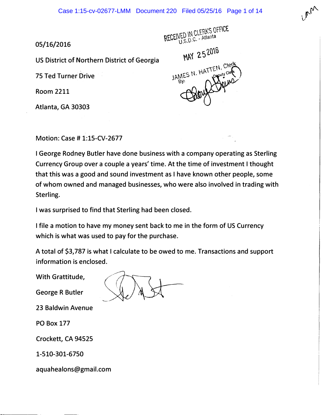05/16/2016

US District of Northern District of Georgia

75 Ted Turner Drive

Room 2211

Atlanta, GA 30303

RECEIVED IN CLERK'S OFFICE

MAY 252016

JAMES N. HATTEN, Clerk

Motion: Case# 1:15-CV-2677

I George Rodney Butler have done business with a company operating as Sterling Currency Group over a couple a years' time. At the time of investment I thought that this was a good and sound investment as I have known other people, some of whom owned and managed businesses, who were also involved in trading with Sterling.

I was surprised to find that Sterling had been closed.

I file a motion to have my money sent back to me in the form of US Currency which is what was used to pay for the purchase.

A total of \$3,787 is what I calculate to be owed to me. Transactions and support information is enclosed.

With Grattitude,

George R Butler

23 Baldwin Avenue

PO Box 177

Crockett, CA 94525

1-510-301-6750

aquahealons@gmail.com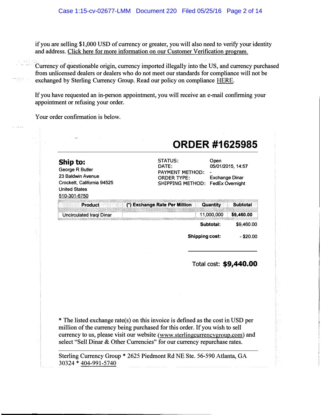if you are selling \$1,000 USD of currency or greater, you will also need to verify your identity and address. Click here for more information on our Customer Verification program.

- - Currency of questionable origin, currency imported illegally into the US, and currency purchased from unlicensed dealers or dealers who do not meet our standards for compliance will not be exchanged by Sterling Currency Group. Read our policy on compliance HERE.

If you have requested an in-person appointment, you will receive an e-mail confirming your appointment or refusing your order.

Your order confirmation is below.

| Ship to:<br>George R Butler<br>23 Baldwin Avenue<br>Crockett, California 94525<br><b>United States</b><br>510-301-6750 | STATUS:<br>DATE:<br>PAYMENT METHOD:<br><b>ORDER TYPE:</b><br>SHIPPING METHOD: | Open<br><b>Exchange Dinar</b> | 05/01/2015, 14:57<br><b>FedEx Overnight</b> |
|------------------------------------------------------------------------------------------------------------------------|-------------------------------------------------------------------------------|-------------------------------|---------------------------------------------|
| <b>Product</b>                                                                                                         | (*) Exchange Rate Per Million                                                 | Quantity                      | <b>Subtotal</b>                             |
| Uncirculated Iraqi Dinar                                                                                               |                                                                               | 11,000,000                    | \$9,460.00                                  |
|                                                                                                                        |                                                                               | Subtotal:                     | \$9,460.00                                  |
|                                                                                                                        |                                                                               | <b>Shipping cost:</b>         | $-$ \$20.00                                 |
|                                                                                                                        |                                                                               | Total cost: \$9,440.00        |                                             |

\* The listed exchange rate(s) on this invoice is defined as the cost in USD per million of the currency being purchased for this order. If you wish to sell currency to us, please visit our website (www.sterlingcurrencygroup.com) and select "Sell Dinar & Other Currencies" for our currency repurchase rates.

Sterling Currency Group \* 2625 Piedmont Rd NE Ste. 56-590 Atlanta, GA 30324 \* 404-991-5740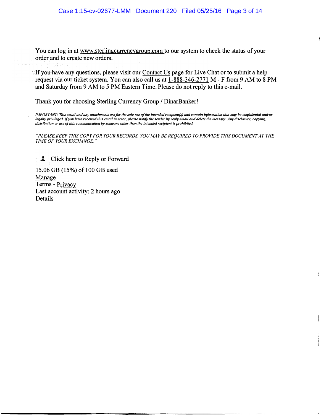You can log in at www.sterlingcurrencygroup.com to our system to check the status of your order and to create new orders.

If you have any questions, please visit our **Contact Us** page for Live Chat or to submit a help request via our ticket system. You can also call us at  $1-888-346-2771$  M - F from 9 AM to 8 PM and Saturday from 9 AM to 5 PM Eastern Time. Please do not reply to this e-mail.

Thank you for choosing Sterling Currency Group / DinarBanker!

IMPORTANT: This email and any attachments are for the sole use of the intended recipient(s) and contain information that may be confidential and/or legally privileged. If you have received this email in error, please notify the sender by reply email and delete the message. Any disclosure, copying, distribution or use of this communication by someone other than the intended recipient is prohibited.

"PLEASEKEEP THIS COPY FOR YOUR RECORDS. YOU MAY BE REQUIRED TO PROVIDE THIS DOCUMENT AT THE TIME OF YOUR EXCHANGE."

**EXECUTE:** Click here to Reply or Forward 15.06 GB (15%) of 100 GB used

Manage Terms - Privacy Last account activity: 2 hours ago Details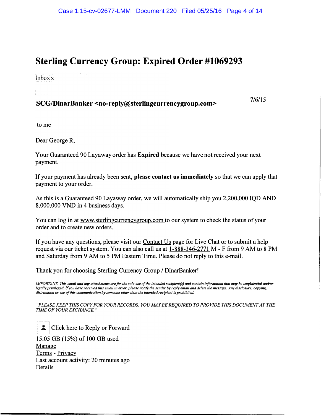# Sterling Currency Group: Expired Order #1069293

lnboxx

# SCG/DinarBanker <no-reply@sterlingcurrencygroup.com> 7/6/15

to me

Dear George R,

Your Guaranteed 90 Layaway order has Expired because we have not received your next payment.

If your payment has already been sent, please contact us immediately so that we can apply that payment to your order.

As this is a Guaranteed 90 Layaway order, we will automatically ship you 2,200,000 IQD AND 8,000,000 VND in 4 business days.

You can log in at www.sterlingcurrencygroup.com to our system to check the status of your order and to create new orders.

If you have any questions, please visit our Contact Us page for Live Chat or to submit a help request via our ticket system. You can also call us at  $1-888-346-2771$  M - F from 9 AM to 8 PM and Saturday from 9 AM to 5 PM Eastern Time. Please do not reply to this e-mail.

Thank you for choosing Sterling Currency Group / DinarBanker!

IMPORTANT: This email and any attachments are for the sole use of the intended recipient(s) and contain information that may be confidential and/or legally privileged. If you have received this email in error, please notify the sender by reply email and delete the message. Any disclosure, copying, distribution or use of this communication by someone other than the intended recipient is prohibited.

"PLEASE KEEP THIS COPY FOR YOUR RECORDS. YOU MAY BE REQUIRED TO PROVIDE THIS DOCUMENT AT THE TIME OF YOUR EXCHANGE."

Click here to Reply or Forward

15.05 GB (15%) of 100 GB used Manage Terms - Privacy Last account activity: 20 minutes ago Details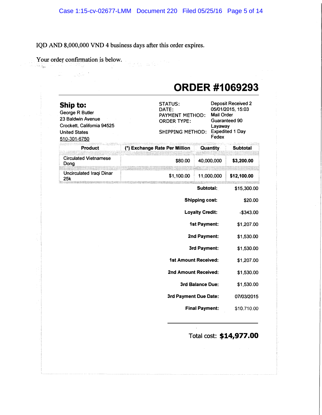## IQD AND 8,000,000 VND 4 business days after this order expires.

 $\sim 10^{11}$  km  $^{-1}$ 

 $\frac{1}{2}$  . When  $\frac{1}{2}$ 

Your order confirmation is below.

# ORDER #1069293

| Ship to:<br>George R Butler<br>23 Baldwin Avenue<br>Crockett, California 94525<br><b>United States</b><br>510-301-6750 | <b>STATUS:</b><br>DATE:<br><b>Mail Order</b><br>PAYMENT METHOD:<br><b>ORDER TYPE:</b><br>Layaway<br><b>SHIPPING METHOD:</b><br>Fedex |                        |  | <b>Deposit Received 2</b><br>05/01/2015, 15:03<br>Guaranteed 90<br><b>Expedited 1 Day</b> |  |
|------------------------------------------------------------------------------------------------------------------------|--------------------------------------------------------------------------------------------------------------------------------------|------------------------|--|-------------------------------------------------------------------------------------------|--|
| <b>Product</b>                                                                                                         | (*) Exchange Rate Per Million                                                                                                        | <b>Quantity</b>        |  | <b>Subtotal</b>                                                                           |  |
| <b>Circulated Vietnamese</b><br>Dong                                                                                   | \$80.00                                                                                                                              | 40,000,000             |  | \$3,200.00                                                                                |  |
| Uncirculated Iraqi Dinar<br>25k                                                                                        | \$1,100.00                                                                                                                           | 11,000,000             |  | \$12,100.00                                                                               |  |
|                                                                                                                        |                                                                                                                                      | Subtotal:              |  | \$15,300.00                                                                               |  |
|                                                                                                                        |                                                                                                                                      | <b>Shipping cost:</b>  |  | \$20.00                                                                                   |  |
|                                                                                                                        |                                                                                                                                      | <b>Loyalty Credit:</b> |  | $-$343.00$                                                                                |  |
|                                                                                                                        |                                                                                                                                      | <b>1st Payment:</b>    |  | \$1,207.00                                                                                |  |
|                                                                                                                        |                                                                                                                                      | 2nd Payment:           |  | \$1,530.00                                                                                |  |
|                                                                                                                        |                                                                                                                                      | 3rd Payment:           |  | \$1,530.00                                                                                |  |
|                                                                                                                        | <b>1st Amount Received:</b>                                                                                                          |                        |  | \$1,207.00                                                                                |  |
|                                                                                                                        | 2nd Amount Received:                                                                                                                 |                        |  | \$1,530.00                                                                                |  |
|                                                                                                                        |                                                                                                                                      | 3rd Balance Due:       |  | \$1,530.00                                                                                |  |
|                                                                                                                        | 3rd Payment Due Date:                                                                                                                |                        |  | 07/03/2015                                                                                |  |
|                                                                                                                        |                                                                                                                                      | <b>Final Payment:</b>  |  | \$10,710.00                                                                               |  |
|                                                                                                                        |                                                                                                                                      |                        |  | Total cost: \$14,977.00                                                                   |  |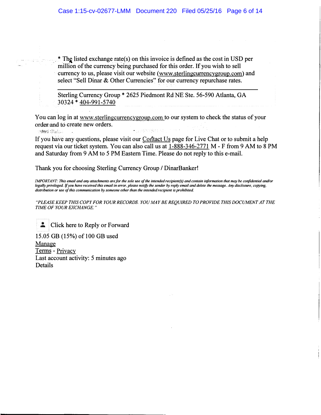. \* The listed exchange rate( s) on this invoice is defined as the cost in USD per million of the currency being purchased for this order. If you wish to sell currency to us, please visit our website (www.sterlingcurrencygroup.com) and select "Sell Dinar & Other Currencies" for our currency repurchase rates.

Sterling Currency Group \* 2625 Piedmont Rd NE Ste. 56-590 Atlanta, GA 30324 \* 404-991-5740

You can log in at www.sterlingcurrencyg�oup.com to our system to check the status of your order: and to create new orders.

m**ted** Stated

If you have any questions, please visit our Contact Us page for Live Chat or to submit a help request via our ticket system. You can also call us at 1-888-346-2771 M - F from 9 AM to 8 PM and Saturday from 9 AM to 5 PM Eastern Time. Please do not reply to this e-mail.

Thank you for choosing Sterling Currency Group / DinarBanker!

IMPORTANT: This email and any attachments are for the sole use of the intended recipient(s) and contain information that may be confidential and/or legally privileged. If you have received this email in error, please notify the sender by reply email and delete the message. Any disclosure, copying, distribution or use of this communication by someone other than the intended recipient is prohibited.

"PLEASE KEEP THIS COPY FOR YOUR RECORDS. YOU MAY BE REQUIRED TO PROVIDE THIS DOCUMENT AT THE TIME OF YOUR EXCHANGE."

**.:** Click here to Reply or Forward

15.05 GB (15%) of 100 GB used Manage Terms - Privacy Last account activity: 5 minutes ago **Details**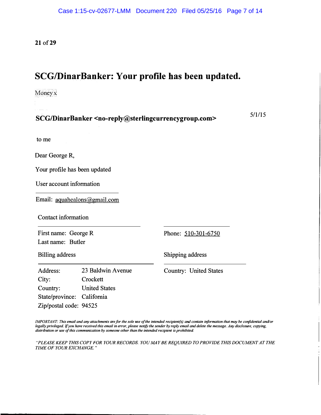21 of 29

# SCG/DinarBanker: Your profile has been updated.

Moneyx

SCG/DinarBanker <no-reply@sterlingcurrencygroup.com> 5/1115

to me

Dear George R,

Your profile has been updated

User account information

Email: aguahealons@gmail.com

Contact information

First name: George R Last name: Butler

Phone: 510-301-6750

Billing address

Shipping address

Address: City: Country: 23 Baldwin Avenue **Crockett** United States State/province: California Zip/postal code: 94525

Country: United States

IMPORTANT: This email and any attachments are for the sole use of the intended recipient(s) and contain information that may be confidential and/or legally privileged. If you have received this email in error, please notify the sender by reply email and delete the message. Any disclosure, copying, distribution or use of this communication by someone other than the intended recipient is prohibited.

"PLEASE KEEP THIS COPY FOR YOUR RECORDS. YOU MAY BE REQUIRED TO PROVIDE THIS DOCUMENT AT THE TIME OF YOUR EXCHANGE."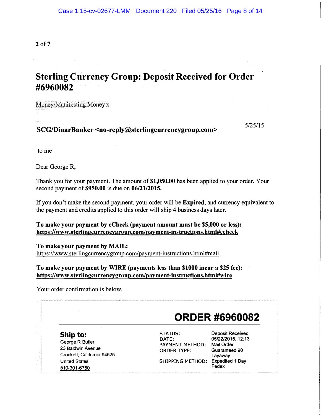2 of7

## Sterling Currency Group: Deposit Received for Order #6960082

Money/Manifesting Money  $x$ 

SCG/DinarBanker <no-reply@sterlingcurrencygroup.com>
5/25/15

to me

Dear George R,

Thank you for your payment. The amount of \$1,050.00 has been applied to your order. Your second payment of \$950.00 is due on 06/21/2015.

If you don't make the second payment, your order will be Expired, and currency equivalent to the payment and credits applied to this order will ship 4 business days later.

To make your payment by eCheck (payment amount must be \$5,000 or less): https ://www .sterlingcurrencygroup.com/payment-instructions.html#ecbeck

To make your payment by MAIL: https://www.sterlingcurrencygroup.com/payment-instructions.html#mail

To make your payment by WIRE (payments less than \$1000 incur a \$25 fee): https://www.sterlingcurrencygroup.com/payment-instructions.html#wire

Your order confirmation is below.

# ORDER #6960082

Ship to: George R Butler 23 Baldwin Avenue Crockett, California 94525 United States 510-301-6750

STATUS: DATE: PAYMENT METHOD: Mail Order ORDER TYPE: SHIPPING METHOD: Expedited 1 Day

Deposit Received 05/22/2015, 12:13 Guaranteed 90 Layaway Fedex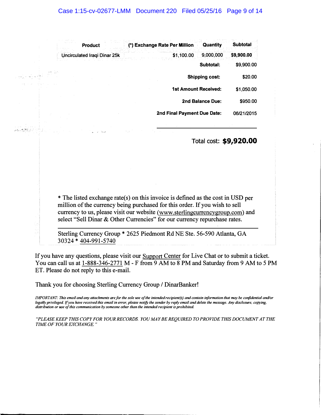| <b>Product</b>               | (*) Exchange Rate Per Million | Quantity                    | <b>Subtotal</b> |
|------------------------------|-------------------------------|-----------------------------|-----------------|
| Uncirculated Iraqi Dinar 25k | \$1,100.00                    | 9,000,000                   | \$9,900.00      |
|                              |                               | Subtotal:                   | \$9,900.00      |
|                              |                               | <b>Shipping cost:</b>       | \$20.00         |
|                              |                               | <b>1st Amount Received:</b> | \$1,050.00      |
|                              |                               | 2nd Balance Due:            | \$950.00        |
|                              | 2nd Final Payment Due Date:   |                             | 06/21/2015      |

لأفاح والعاران والعج

a ang panganganang

Total cost: \$9,920.00

\*The listed exchange rate(s) on this invoice is defined as the cost in USD per million of the currency being purchased for this order. If you wish to sell currency to us, please visit our website (www.sterlingcurrencygroup.com) and select "Sell Dinar & Other Currencies" for our currency repurchase rates.

Sterling Currency Group \* 2625 Piedmont Rd NE Ste. 56-590 Atlanta, GA 30324 \* 404-991-5740

If you have any questions, please visit our Support Center for Live Chat or to submit a ticket. You can call us at 1-888-346-2771 M - F from 9 AM to 8 PM and Saturday from 9 AM to 5 PM ET. Please do not reply to this e-mail.

Thank you for choosing Sterling Currency Group / DinarBanker!

IMPORTANT: This email and any attachments are for the sole use of the intended recipient(s) and contain information that may be confidential and/or legally privileged. If you have received this email in error, please notify the sender by reply email and delete the message. Any disclosure, copying, distribution or use of this communication by someone other than the intended recipient is prohibited.

"PLEASE KEEP THIS COPY FOR YOUR RECORDS. YOU M4Y BE REQUIRED TO PROVIDE THIS DOCUMENT AT THE TIME OF YOUR EXCHANGE."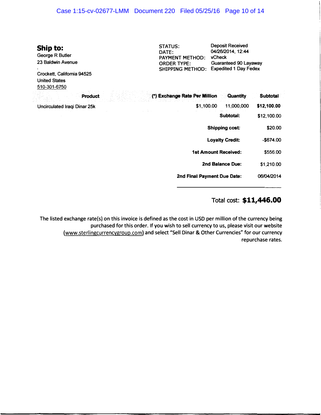| Case 1:15-cv-02677-LMM  Document 220  Filed 05/25/16  Page 10 of 14                                                    |                                                                                                    |                                                                                                                 |                 |
|------------------------------------------------------------------------------------------------------------------------|----------------------------------------------------------------------------------------------------|-----------------------------------------------------------------------------------------------------------------|-----------------|
| Ship to:<br>George R Butler<br>23 Baldwin Avenue<br>Crockett, California 94525<br><b>United States</b><br>510-301-6750 | <b>STATUS:</b><br>DATE:<br><b>PAYMENT METHOD:</b><br><b>ORDER TYPE:</b><br><b>SHIPPING METHOD:</b> | <b>Deposit Received</b><br>04/26/2014, 12:44<br>vCheck<br>Guaranteed 90 Layaway<br><b>Expedited 1 Day Fedex</b> |                 |
| <b>Product</b>                                                                                                         | (*) Exchange Rate Per Million                                                                      | Quantity                                                                                                        | <b>Subtotal</b> |
| Uncirculated Iraqi Dinar 25k                                                                                           | \$1,100.00                                                                                         | 11,000,000                                                                                                      | \$12,100.00     |
|                                                                                                                        |                                                                                                    | Subtotal:                                                                                                       | \$12,100.00     |
|                                                                                                                        |                                                                                                    | Shipping cost:                                                                                                  | \$20.00         |
|                                                                                                                        |                                                                                                    | <b>Loyalty Credit:</b>                                                                                          | -\$674.00       |
|                                                                                                                        |                                                                                                    | <b>1st Amount Received:</b>                                                                                     | \$556.00        |
|                                                                                                                        |                                                                                                    |                                                                                                                 |                 |

2nd Balance Due: \$1,210.00

2nd Final Payment Due Date: 06/0412014

### Total cost: \$11,446.00

The listed exchange rate(s) on this invoice is defined as the cost in USO per million of the currency being purchased for this order. If you wish to sell currency to us, please visit our website (www.sterlingcurrencygroup.com) and select "Sell Dinar & Other Currencies" for our currency repurchase rates.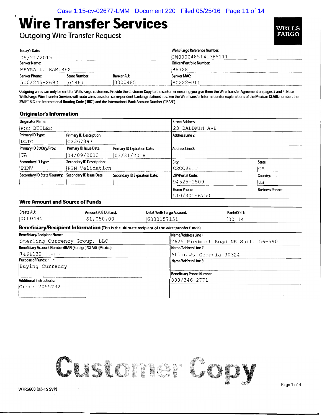# ,Wire Transfer Services

Outgoing Wire Transfer Request

| Today's Date:        |               |                   | Wells Fargo Reference Number: |  |
|----------------------|---------------|-------------------|-------------------------------|--|
| 05/21/2015           |               |                   | FW0000485141385111            |  |
| <b>Banker Name:</b>  |               |                   | Officer/Portfolio Number:     |  |
| MAYRA L. RAMIREZ     |               |                   | B5728                         |  |
| <b>Banker Phone:</b> | Store Number: | <b>Banker AU:</b> | <b>Banker MAC:</b>            |  |
| $ 510/245 - 2690$    | 104867        | 10000485          | A0222-011                     |  |

Outgoing wires can only be sent for Wells Fargo customers. Provide the Customer Copy to the customer ensuring you give them the Wire Transfer Agreement on pages 3 and 4. Note: Wells Fargo Wire Transfer Services will route wires based on correspondent banking relationships. See the Wire Transfer Information for explanations of the Mexican CLABE number, the SWIFT BIC, the International Routing Code ("IRC") and the International Bank Account Number ("IBAN").

#### Originator's Information

t

| <b>Originator Name:</b>                              |                                  |                                      | Street Address:         |                        |
|------------------------------------------------------|----------------------------------|--------------------------------------|-------------------------|------------------------|
| ROD BUTLER                                           |                                  |                                      | 23 BALDWIN AVE          |                        |
| Primary ID Type:                                     | <b>Primary ID Description:</b>   |                                      | Address Line 2:         |                        |
| DLIC                                                 | C2367897                         |                                      |                         |                        |
| Primary ID St/Ctry/Prov:                             | Primary ID Issue Date:           | <b>Primary ID Expiration Date:</b>   | Address Line 3:         |                        |
| CA                                                   | 04/09/2013                       | 03/31/2018                           |                         |                        |
| Secondary ID Type:                                   | <b>Secondary ID Description:</b> |                                      | City:                   | State:                 |
| PINV                                                 | PIN Validation                   |                                      | <b>CROCKETT</b>         | ICA                    |
| Secondary ID State/Country: Secondary ID Issue Date: |                                  | <b>Secondary ID Expiration Date:</b> | <b>ZIP/Postal Code:</b> | Country:               |
|                                                      |                                  |                                      | 94525-1509              | US                     |
|                                                      |                                  |                                      | Home Phone:             | <b>Business Phone:</b> |
|                                                      |                                  |                                      | 510/301-6750            |                        |

#### Wire Amount and Source of Funds

| <b>Amount (US Dollars):</b>                               |  |                                  | Bank/COID:                                                                                                                                                                                |  |  |
|-----------------------------------------------------------|--|----------------------------------|-------------------------------------------------------------------------------------------------------------------------------------------------------------------------------------------|--|--|
| \$1,050.00                                                |  |                                  | 100114                                                                                                                                                                                    |  |  |
|                                                           |  |                                  |                                                                                                                                                                                           |  |  |
|                                                           |  | Name/Address Line 1:             |                                                                                                                                                                                           |  |  |
| Sterling Currency Group, LLC                              |  |                                  | 2625 Piedmont Road NE Suite 56-590                                                                                                                                                        |  |  |
| Beneficiary Account Number/IBAN (Foreign)/CLABE (Mexico): |  |                                  |                                                                                                                                                                                           |  |  |
|                                                           |  | Atlanta, Georgia 30324           |                                                                                                                                                                                           |  |  |
|                                                           |  |                                  |                                                                                                                                                                                           |  |  |
|                                                           |  |                                  |                                                                                                                                                                                           |  |  |
|                                                           |  | <b>Beneficiary Phone Number:</b> |                                                                                                                                                                                           |  |  |
|                                                           |  | 888/346-2771                     |                                                                                                                                                                                           |  |  |
|                                                           |  |                                  |                                                                                                                                                                                           |  |  |
|                                                           |  |                                  |                                                                                                                                                                                           |  |  |
|                                                           |  |                                  | Debit Wells Fargo Account:<br>6333157151<br>Beneficiary/Recipient Information (This is the ultimate recipient of the wire transfer funds)<br>Name/Address Line 2:<br>Name/Address Line 3: |  |  |

------------------------------

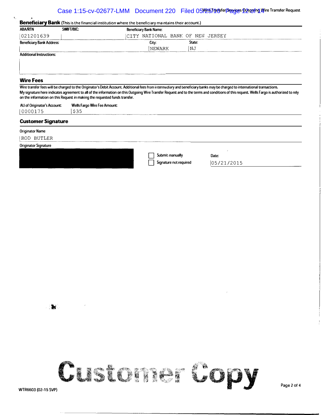#### Case 1:15-cv-02677-LMM Document 220 Filed 05/25/146 fer Pervices Docgoing Wire Transfer Request

|                                                                              | SWIFT/BIC:                                                                 | <b>Beneficiary Bank Name:</b>    |        |                                                                                                                                                                                                                                                                                                                                                                          |
|------------------------------------------------------------------------------|----------------------------------------------------------------------------|----------------------------------|--------|--------------------------------------------------------------------------------------------------------------------------------------------------------------------------------------------------------------------------------------------------------------------------------------------------------------------------------------------------------------------------|
| 021201639                                                                    |                                                                            | CITY NATIONAL BANK OF NEW JERSEY |        |                                                                                                                                                                                                                                                                                                                                                                          |
| <b>Beneficiary Bank Address:</b>                                             |                                                                            | City:                            | State: |                                                                                                                                                                                                                                                                                                                                                                          |
|                                                                              |                                                                            | NEWARK                           | ΝJ     |                                                                                                                                                                                                                                                                                                                                                                          |
| <b>Additional Instructions:</b>                                              |                                                                            |                                  |        |                                                                                                                                                                                                                                                                                                                                                                          |
|                                                                              |                                                                            |                                  |        |                                                                                                                                                                                                                                                                                                                                                                          |
|                                                                              |                                                                            |                                  |        |                                                                                                                                                                                                                                                                                                                                                                          |
| <b>Wire Fees</b>                                                             |                                                                            |                                  |        |                                                                                                                                                                                                                                                                                                                                                                          |
|                                                                              | on the information on this Request in making the requested funds transfer. |                                  |        | Wire transfer fees will be charged to the Originator's Debit Account. Additional fees from intermediary and beneficiary banks may be charged to international transactions.<br>My signature here indicates agreement to all of the information on this Outgoing Wire Transfer Request and to the terms and conditions of this request. Wells Fargo is authorized to rely |
|                                                                              |                                                                            |                                  |        |                                                                                                                                                                                                                                                                                                                                                                          |
| AU of Originator's Account:                                                  | <b>Wells Fargo Wire Fee Amount:</b>                                        |                                  |        |                                                                                                                                                                                                                                                                                                                                                                          |
|                                                                              | \$35                                                                       |                                  |        |                                                                                                                                                                                                                                                                                                                                                                          |
|                                                                              |                                                                            |                                  |        |                                                                                                                                                                                                                                                                                                                                                                          |
| 0000175<br><b>Customer Signature</b><br><b>Originator Name</b><br>ROD BUTLER |                                                                            |                                  |        |                                                                                                                                                                                                                                                                                                                                                                          |
| <b>Originator Signature</b>                                                  |                                                                            |                                  |        |                                                                                                                                                                                                                                                                                                                                                                          |
|                                                                              |                                                                            | Submit manually                  |        | Date:                                                                                                                                                                                                                                                                                                                                                                    |

 $\mathbf{R}$ 

..

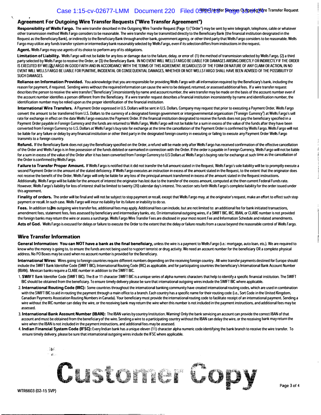#### . Agreement For Outgoing Wire Transfer Requests ("Wire Transfer Agreement")

Responsibility of Wells Fargo. The wire transfer described in the Outgoing Wire Transfer Request (Page 1) ("Order") may be sent by wire telegraph, telephone, cable or whatever other transmission method Wells Fargo considers to be reasonable. The wire transfer may be transmitted directly to the Beneficiary Bank (the financial institution designated in the Request as the Beneficiary Bank), or indirectly to the Beneficiary Bank through another bank, government agency, or other third party that Wells Fargo considers to be reasonable. Wells Fargo may utilize any funds transfer system or intermediary bank reasonably selected by Wells Fargo, even if its selection differs from instructions in the request.

Agent. Wells Fargo may use agents of its choice to perform any of its obligations.

Limitation of Liability. Wells Fargo will not be liable for any loss or damage due to the failure, delay, or error of: (1) the method of transmission selected by Wells Fargo, (2) a third party selected by Wells Fargo to receive the Order, or (3) the Beneficiary Bank. IN NO EVENT WILL WELLS FARGO BE LIABLE FOR DAMAGES ARISING DIRECTLY OR INDIRECTLY IF THE ORDER IS EXECUTED BY WELL&FARGO IN GOOD FAITH AND IN ACCORDANCE WITH THE TERMS OF THIS AGREEMENT. REGARDLESS OF THE FORM OR NATURE OF ANY CLAIM OR ACTION. IN NO EVENT WILL WELLS FARGO BE LIABLE FOR PUNITIVE. INCIDENTAL OR CONSEQUENTIAL DAMAGES, WHETHER OR NOT WELLS FARGO SHALL HAVE BEEN ADVISED OF THE POSSIBILITY OF SUCH DAMAGES.

Reliance on Information Provided. You acknowledge that you are responsible for providing Wells Fargo with all information required by the Beneficiary's bank, including the reason for payment. if required. Sending wires without the required information can cause the wire to be delayed, returned, or assessed additional fees. If a wire transfer request describes the person to receive the wire transfer ("Beneficiary") inconsistently by name and account number, the wire transfer may be made on the basis of the account number even if the account number identifies a person different from the Beneficiary. If a wire transfer request describes a financial institution inconsistently by name and identification number, the identification number may be relied upon as the proper identification of the financial institution.

International Wire Transfers. A Payment Order expressed in U.S. Dollars will be sent in U.S. Dollars. Company may request that prior to executing a Payment Order, Wells Fargo convert the amount to be transferred from U.S. Dollars to the currency of a designated foreign government or intergovernmental organization ("Foreign Currency") at Wells Fargo's sell rate for exchange in effect on the date Wells Fargo executes the Payment Order. If the financial institution designated to receive the funds does not pay the beneficiary specified in a Payment Order payable in Foreign Currency and the funds are returned to Wells Fargo, Wells Fargo will not be liable for a sum in excess of the value of the funds after they have been converted from Foreign Currency to U.S. Dollars at Wells Fargo's buy rate for exchange at the time the cancellation of the Payment Order is confirmed by Wells Fargo. Wells Fargo will not be liable for any failure or delay by any financial institution or other third party in the designated foreign country in executing or failing to execute any Payment Order Wells Fargo transmits to a foreign country.

Refund. If the Beneficiary Bank does not pay the Beneficiary specified on the Order, a refund will be made only after Wells Fargo has received confirmation of the effective cancellation of the Order and Wells Fargo is in free possession of the funds debited or earmarked in connection with the Order. If the order is payable in Foreign Currency, Wells Fargo will not be liable for a sum in excess of the value of the Order after it has been converted from Foreign Currency to U.S Dollars at Wells Fargo's buying rate for exchange at such time as the cancellation of the Order is confirmed by Wells Fargo.

Failure to Transfer Proper Amount. If Wells Fargo is notified that it did not transfer the full amount stated in the Request, Wells Fargo's sole liability will be to promptly execute a second Payment Order in the amount of the stated deficiency. If Wells Fargo executes an instruction in excess of the amount stated in the Request, to the extent that the originator does not receive the benefit of the Order, Wells Fargo will only be liable for any loss of the principal amount transferred in excess of the amount stated in the Request instructions. Additionally, Wells Fargo will be liable for the amount of interest the originator has lost due to the transfer of the excess amount. computed at the then current Federal Funds rate. However, Wells Fargo's liability for loss of interest shall be limited to twenty (20) calendar day's interest. This section sets forth Wells Fargo's complete liability for the order issued under this agreement.

Finality of orders. The order will be final and will not be subject to stop payment or recall, except that Wells Fargo may, at the originator's request, make an effort to effect such stop payment or recall. In such case, Wells Fargo will incur no liability for its failure or inability to do so.

Fees. In addition to the outgoing wire transfer fee, additional fees may apply. Additional fees can include, but are not limited to: an additional fee for bank initiated transactions, amendment fees, statement fees, fees assessed by beneficiary and intermediary banks, etc. On international outgoing wires, if a SWIFT BIC, IRC, IBAN, or CLABE number is not provided the foreign banks may return the wire or assess a surcharge. Wells Fargo Wire Transfer Fees are disclosed in your most recent Fee and Information Schedule and related amendments. Acts of God. Wells Fargo is excused for delays or failure to execute the Order to the extent that the delay or failure results from a cause beyond the reasonable control of Wells Fargo.

#### Wire Transfer Information

General Information: You can NOT have a bank as the final beneficiary, unless the wire is a payment to Wells Fargo (i.e.: mortgage, auto loan, etc.). We are required to know who the money is going to, to ensure the funds are not being used to support terrorist or drug activity. We need an account number for the beneficiary OR a complete physical address. No PO Boxes may be used when no account number is provided for the Beneficiary.

International Wires: Wires going to foreign countries require different numbers depending on the receiving foreign country. All wire transfer payments destined for Europe should include the SWIFT Bank Identifier Code (SWIFT BIC), International Routing Code (IRC) as applicable, and for participating countries the beneficiary's International Bank Account Number (IBAN). Mexican banks require a CLABE number in addition to the SWIFT BIC.

- 1. SWIFT Bank Identifier Code (SWIFT BIC). The 8 or 11 character SWIFT BIC is a unique series of alpha numeric characters that help to identify a specific financial institution. The SWIFT BIC should be obtained from the beneficiary. To ensure timely delivery please be sure that international outgoing wires include the SWIFT BIC where applicable.
- 2. International Routing Code (IRC): Some countries throughout the international banking community have created international routing codes, which are used in combination with the SWIFT BIC to aid in routing the payment through a main office to a branch. Each country has a specific name for their routing code (i.e., Sort Code in the United Kingdom, Canadian Payments Association Routing Numbers in Canada). Your beneficiary must provide the international routing code to facilitate receipt of an international payment. Sending a wire without the IRC number can delay the wire, or the receiving bank may return the wire when this number is not included in the payment instructions, and additional fees may be assessed.
- 3. International Bank Account Number (IBAN): The IBAN varies by country/institution. Waming! Only the bank servicing an account can provide the correct IBAN of that account and must be obtained from the beneficiary of the wire. Sending a wire to a participating country without the IBAN can delay the wire, or the receiving bank may return the wire when the IBAN is not included in the payment instructions, and additional fees may be assessed.
- 4. Indian Financial System Code (IFSC): Every Indian bank has a unique eleven (11) character alpha numeric code identifying the bank branch to receive the wire transfer. To ensure timely delivery, please be sure that international outgoing wires include the IFSC where applicable.